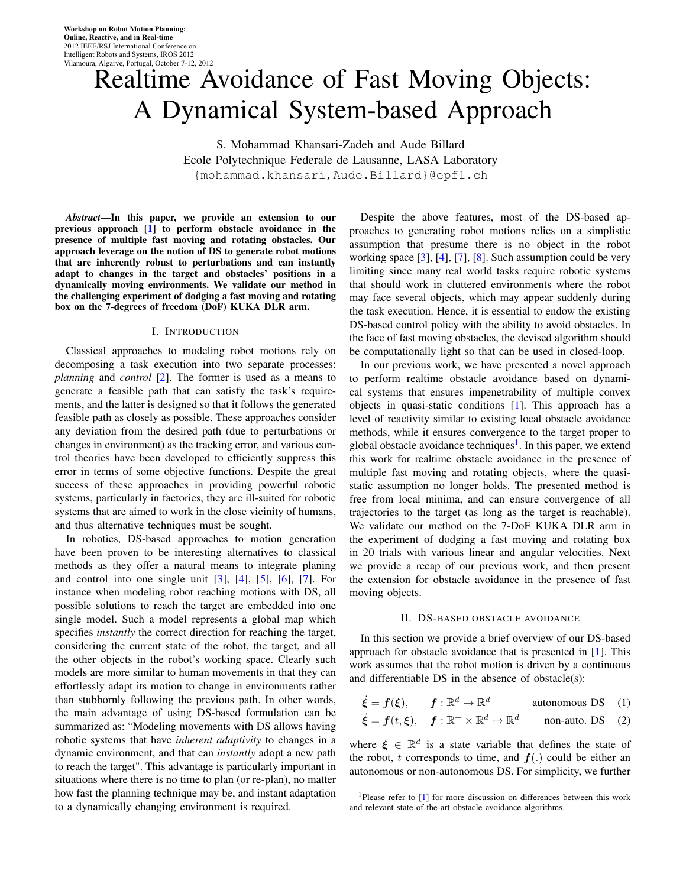# Realtime Avoidance of Fast Moving Objects: A Dynamical System-based Approach

S. Mohammad Khansari-Zadeh and Aude Billard Ecole Polytechnique Federale de Lausanne, LASA Laboratory {mohammad.khansari,Aude.Billard}@epfl.ch

*Abstract*—In this paper, we provide an extension to our previous approach [[1](#page-5-0)] to perform obstacle avoidance in the presence of multiple fast moving and rotating obstacles. Our approach leverage on the notion of DS to generate robot motions that are inherently robust to perturbations and can instantly adapt to changes in the target and obstacles' positions in a dynamically moving environments. We validate our method in the challenging experiment of dodging a fast moving and rotating box on the 7-degrees of freedom (DoF) KUKA DLR arm.

### I. INTRODUCTION

Classical approaches to modeling robot motions rely on decomposing a task execution into two separate processes: *planning* and *control* [[2\]](#page-5-1). The former is used as a means to generate a feasible path that can satisfy the task's requirements, and the latter is designed so that it follows the generated feasible path as closely as possible. These approaches consider any deviation from the desired path (due to perturbations or changes in environment) as the tracking error, and various control theories have been developed to efficiently suppress this error in terms of some objective functions. Despite the great success of these approaches in providing powerful robotic systems, particularly in factories, they are ill-suited for robotic systems that are aimed to work in the close vicinity of humans, and thus alternative techniques must be sought.

In robotics, DS-based approaches to motion generation have been proven to be interesting alternatives to classical methods as they offer a natural means to integrate planing and control into one single unit  $\begin{bmatrix} 3 \end{bmatrix}$ ,  $\begin{bmatrix} 4 \end{bmatrix}$ ,  $\begin{bmatrix} 5 \end{bmatrix}$ ,  $\begin{bmatrix} 6 \end{bmatrix}$ ,  $\begin{bmatrix} 7 \end{bmatrix}$ . For instance when modeling robot reaching motions with DS, all possible solutions to reach the target are embedded into one single model. Such a model represents a global map which specifies *instantly* the correct direction for reaching the target, considering the current state of the robot, the target, and all the other objects in the robot's working space. Clearly such models are more similar to human movements in that they can effortlessly adapt its motion to change in environments rather than stubbornly following the previous path. In other words, the main advantage of using DS-based formulation can be summarized as: "Modeling movements with DS allows having robotic systems that have *inherent adaptivity* to changes in a dynamic environment, and that can *instantly* adopt a new path to reach the target". This advantage is particularly important in situations where there is no time to plan (or re-plan), no matter how fast the planning technique may be, and instant adaptation to a dynamically changing environment is required.

Despite the above features, most of the DS-based approaches to generating robot motions relies on a simplistic assumption that presume there is no object in the robot working space [[3\]](#page-5-2), [\[4](#page-5-3)], [[7\]](#page-5-6), [\[8](#page-5-7)]. Such assumption could be very limiting since many real world tasks require robotic systems that should work in cluttered environments where the robot may face several objects, which may appear suddenly during the task execution. Hence, it is essential to endow the existing DS-based control policy with the ability to avoid obstacles. In the face of fast moving obstacles, the devised algorithm should be computationally light so that can be used in closed-loop.

In our previous work, we have presented a novel approach to perform realtime obstacle avoidance based on dynamical systems that ensures impenetrability of multiple convex objects in quasi-static conditions [\[1](#page-5-0)]. This approach has a level of reactivity similar to existing local obstacle avoidance methods, while it ensures convergence to the target proper to global obstacle avoidance techniques<sup>[1](#page-0-0)</sup>. In this paper, we extend this work for realtime obstacle avoidance in the presence of multiple fast moving and rotating objects, where the quasistatic assumption no longer holds. The presented method is free from local minima, and can ensure convergence of all trajectories to the target (as long as the target is reachable). We validate our method on the 7-DoF KUKA DLR arm in the experiment of dodging a fast moving and rotating box in 20 trials with various linear and angular velocities. Next we provide a recap of our previous work, and then present the extension for obstacle avoidance in the presence of fast moving objects.

#### II. DS-BASED OBSTACLE AVOIDANCE

In this section we provide a brief overview of our DS-based approach for obstacle avoidance that is presented in [\[1](#page-5-0)]. This work assumes that the robot motion is driven by a continuous and differentiable DS in the absence of obstacle(s):

 $\dot{\boldsymbol{\xi}} = \boldsymbol{f}(\boldsymbol{\xi}), \qquad \boldsymbol{f}:\mathbb{R}^d \mapsto \mathbb{R}^d$ autonomous DS (1)

$$
\dot{\xi} = f(t, \xi), \quad f: \mathbb{R}^+ \times \mathbb{R}^d \mapsto \mathbb{R}^d
$$
 non-auto. DS (2)

where  $\xi \in \mathbb{R}^d$  is a state variable that defines the state of the robot, *t* corresponds to time, and  $f(.)$  could be either an autonomous or non-autonomous DS. For simplicity, we further

<span id="page-0-0"></span><sup>&</sup>lt;sup>1</sup>Please refer to [\[1](#page-5-0)] for more discussion on differences between this work and relevant state-of-the-art obstacle avoidance algorithms.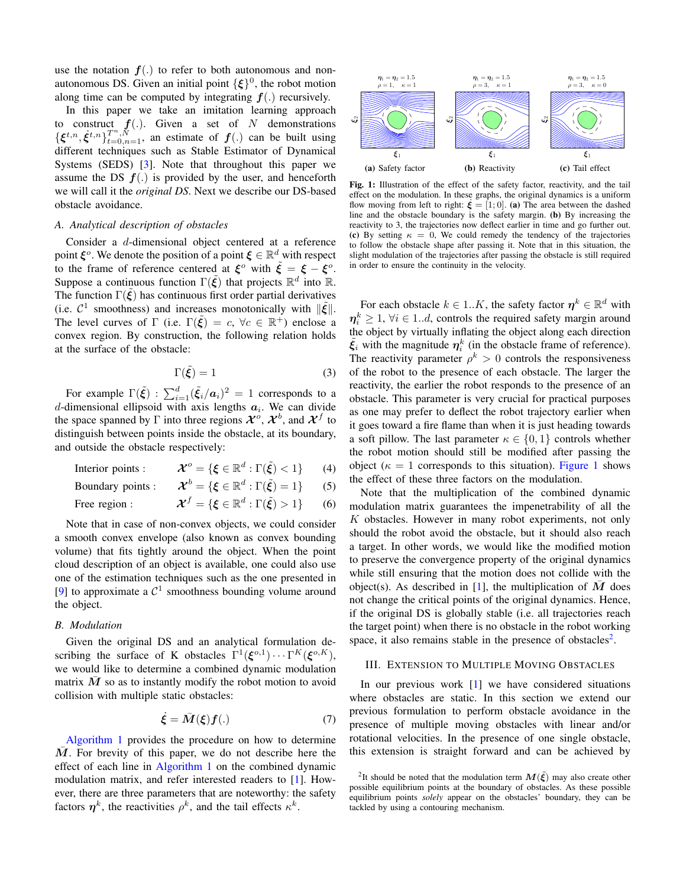use the notation  $f(.)$  to refer to both autonomous and nonautonomous DS. Given an initial point  $\{\xi\}^0$ , the robot motion along time can be computed by integrating  $f(.)$  recursively.

In this paper we take an imitation learning approach to construct  $f(.)$ . Given a set of *N* demonstrations  $\{\xi^{t,n}, \dot{\xi}^{t,n}\}_{t=0,n=1}^{T^n, N}$ , an estimate of  $f(.)$  can be built using different techniques such as Stable Estimator of Dynamical Systems (SEDS) [\[3](#page-5-2)]. Note that throughout this paper we assume the DS  $f(.)$  is provided by the user, and henceforth we will call it the *original DS*. Next we describe our DS-based obstacle avoidance.

#### *A. Analytical description of obstacles*

Consider a *d*-dimensional object centered at a reference point  $\xi$ <sup>o</sup>. We denote the position of a point  $\xi \in \mathbb{R}^d$  with respect to the frame of reference centered at  $\xi^o$  with  $\tilde{\xi} = \xi - \xi^o$ . Suppose a continuous function  $\Gamma(\tilde{\xi})$  that projects  $\mathbb{R}^d$  into  $\mathbb{R}$ . The function  $\Gamma(\xi)$  has continuous first order partial derivatives (i.e.  $C^1$  smoothness) and increases monotonically with  $\|\tilde{\xi}\|$ . The level curves of  $\Gamma$  (i.e.  $\Gamma(\tilde{\xi}) = c$ ,  $\forall c \in \mathbb{R}^+$ ) enclose a convex region. By construction, the following relation holds at the surface of the obstacle:

$$
\Gamma(\tilde{\xi}) = 1 \tag{3}
$$

For example  $\Gamma(\tilde{\xi})$  :  $\sum_{i=1}^{d} (\tilde{\xi}_i/a_i)^2 = 1$  corresponds to a *d*-dimensional ellipsoid with axis lengths  $a_i$ . We can divide the space spanned by  $\Gamma$  into three regions  $\mathcal{X}^o$ ,  $\mathcal{X}^b$ , and  $\mathcal{X}^f$  to distinguish between points inside the obstacle, at its boundary, and outside the obstacle respectively:

Interior points :  $\mathcal{O} = \{ \xi \in \mathbb{R}^d : \Gamma(\tilde{\xi}) < 1 \}$  (4)

Boundary points : *X*  $b = \{ \xi \in \mathbb{R}^d : \Gamma(\tilde{\xi}) = 1 \}$  (5)

Free region :  $f = \{ \xi \in \mathbb{R}^d : \Gamma(\tilde{\xi}) > 1 \}$  (6)

Note that in case of non-convex objects, we could consider a smooth convex envelope (also known as convex bounding volume) that fits tightly around the object. When the point cloud description of an object is available, one could also use one of the estimation techniques such as the one presented in [\[9](#page-5-8)] to approximate a  $C^1$  smoothness bounding volume around the object.

#### *B. Modulation*

Given the original DS and an analytical formulation describing the surface of K obstacles  $\Gamma^1(\boldsymbol{\xi}^{o,1}) \cdots \Gamma^K(\boldsymbol{\xi}^{o,K})$ , we would like to determine a combined dynamic modulation matrix  $M$  so as to instantly modify the robot motion to avoid collision with multiple static obstacles:

$$
\dot{\xi} = \bar{M}(\xi) f(.) \tag{7}
$$

[Algorithm 1](#page-2-0) provides the procedure on how to determine M. For brevity of this paper, we do not describe here the effect of each line in [Algorithm 1](#page-2-0) on the combined dynamic modulation matrix, and refer interested readers to [[1\]](#page-5-0). However, there are three parameters that are noteworthy: the safety factors  $\eta^k$ , the reactivities  $\rho^k$ , and the tail effects  $\kappa^k$ .

<span id="page-1-0"></span>

Fig. 1: Illustration of the effect of the safety factor, reactivity, and the tail effect on the modulation. In these graphs, the original dynamics is a uniform flow moving from left to right:  $\xi = [1, 0]$ . (a) The area between the dashed line and the obstacle boundary is the safety margin. (b) By increasing the reactivity to 3, the trajectories now deflect earlier in time and go further out. (c) By setting  $\kappa = 0$ , We could remedy the tendency of the trajectories to follow the obstacle shape after passing it. Note that in this situation, the slight modulation of the trajectories after passing the obstacle is still required in order to ensure the continuity in the velocity.

For each obstacle  $k \in 1..K$ , the safety factor  $\boldsymbol{\eta}^k \in \mathbb{R}^d$  with  $\eta_i^k \geq 1$ ,  $\forall i \in 1..d$ , controls the required safety margin around the object by virtually inflating the object along each direction  $\tilde{\xi}_i$  with the magnitude  $\eta_i^k$  (in the obstacle frame of reference). The reactivity parameter  $\rho^k > 0$  controls the responsiveness of the robot to the presence of each obstacle. The larger the reactivity, the earlier the robot responds to the presence of an obstacle. This parameter is very crucial for practical purposes as one may prefer to deflect the robot trajectory earlier when it goes toward a fire flame than when it is just heading towards a soft pillow. The last parameter  $\kappa \in \{0, 1\}$  controls whether the robot motion should still be modified after passing the object ( $\kappa = 1$  corresponds to this situation). [Figure 1](#page-1-0) shows the effect of these three factors on the modulation.

Note that the multiplication of the combined dynamic modulation matrix guarantees the impenetrability of all the *K* obstacles. However in many robot experiments, not only should the robot avoid the obstacle, but it should also reach a target. In other words, we would like the modified motion to preserve the convergence property of the original dynamics while still ensuring that the motion does not collide with the object(s). As described in [\[1](#page-5-0)], the multiplication of  $M$  does not change the critical points of the original dynamics. Hence, if the original DS is globally stable (i.e. all trajectories reach the target point) when there is no obstacle in the robot working space, it also remains stable in the presence of obstacles<sup>[2](#page-1-1)</sup>.

#### III. EXTENSION TO MULTIPLE MOVING OBSTACLES

In our previous work [\[1](#page-5-0)] we have considered situations where obstacles are static. In this section we extend our previous formulation to perform obstacle avoidance in the presence of multiple moving obstacles with linear and/or rotational velocities. In the presence of one single obstacle, this extension is straight forward and can be achieved by

<span id="page-1-1"></span><sup>&</sup>lt;sup>2</sup>It should be noted that the modulation term  $M(\tilde{\xi})$  may also create other possible equilibrium points at the boundary of obstacles. As these possible equilibrium points *solely* appear on the obstacles' boundary, they can be tackled by using a contouring mechanism.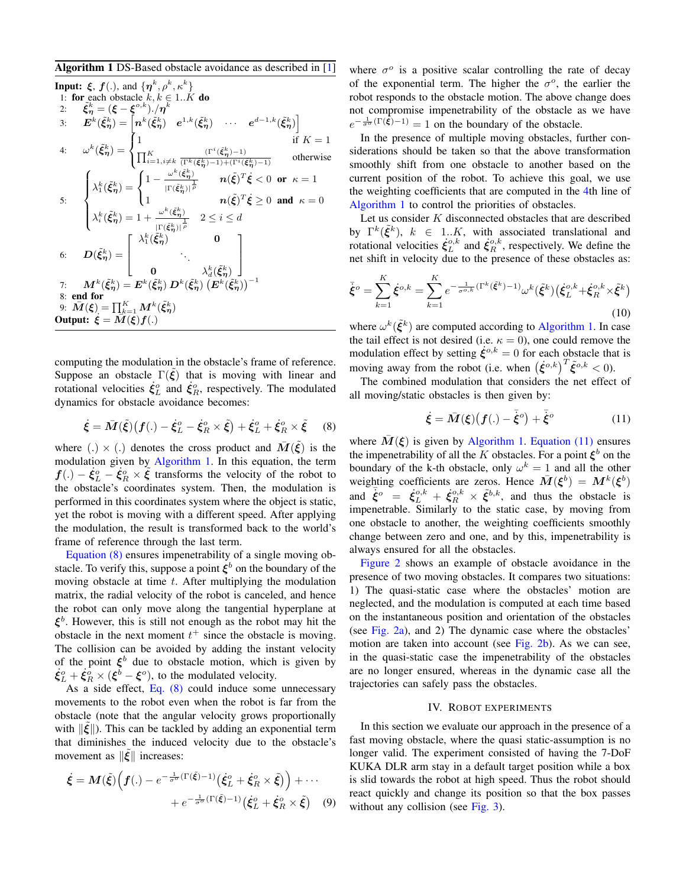#### <span id="page-2-0"></span>Algorithm 1 DS-Based obstacle avoidance as described in [[1\]](#page-5-0)

Input: 
$$
\xi
$$
,  $f(.)$ , and  $\{\eta^k, \rho^k, \kappa^k\}$   
\n1: for each obstacle  $k, k \in 1..K$  do  
\n2:  $\tilde{\xi}_{\eta}^k = (\xi - \xi^{o,k})./\eta^k$   
\n3:  $E^k(\tilde{\xi}_{\eta}^k) = \begin{bmatrix} n^k(\tilde{\xi}_{\eta}^k) & e^{1,k}(\tilde{\xi}_{\eta}^k) & \cdots & e^{d-1,k}(\tilde{\xi}_{\eta}^k) \end{bmatrix}$   
\n4:  $\omega^k(\tilde{\xi}_{\eta}^k) = \begin{cases} 1 & \text{if } K = 1 \\ \prod_{i=1, i \neq k}^K \frac{(\Gamma^i(\tilde{\xi}_{\eta}^k) - 1)}{(\Gamma^k(\tilde{\xi}_{\eta}^k) - 1) + (\Gamma^i(\tilde{\xi}_{\eta}^k) - 1)} & \text{otherwise} \end{cases}$   
\n5:  $\begin{cases} \lambda_1^k(\tilde{\xi}_{\eta}^k) = \begin{cases} 1 - \frac{\omega^k(\tilde{\xi}_{\eta}^k)}{|\Gamma(\tilde{\xi}_{\eta}^k)|^{\frac{1}{p}}} & n(\tilde{\xi})^T \dot{\xi} < 0 \text{ or } \kappa = 1 \\ 1 & n(\tilde{\xi})^T \dot{\xi} \ge 0 \text{ and } \kappa = 0 \end{cases}$   
\n6:  $D(\tilde{\xi}_{\eta}^k) = \begin{bmatrix} \lambda_1^k(\tilde{\xi}_{\eta}^k) & 0 \\ 0 & \lambda_d^k(\tilde{\xi}_{\eta}^k) \end{bmatrix}$   
\n7:  $M^k(\tilde{\xi}_{\eta}^k) = E^k(\tilde{\xi}_{\eta}^k) D^k(\tilde{\xi}_{\eta}^k) (\tilde{E}^k(\tilde{\xi}_{\eta}^k))^{-1}$   
\n8: end for  
\n9:  $\overline{M}(\xi) = \prod_{k=1}^K M^k(\tilde{\xi}_{\eta}^k)$   
\nOutput:  $\dot{\xi} = \overline{M}(\xi)f(.)$ 

computing the modulation in the obstacle's frame of reference. Suppose an obstacle  $\Gamma(\xi)$  that is moving with linear and rotational velocities  $\dot{\xi}_L^o$  and  $\dot{\xi}_R^o$ , respectively. The modulated dynamics for obstacle avoidance becomes:

<span id="page-2-1"></span>
$$
\dot{\xi} = \bar{M}(\tilde{\xi})(f(.) - \dot{\xi}_L^o - \dot{\xi}_R^o \times \tilde{\xi}) + \dot{\xi}_L^o + \dot{\xi}_R^o \times \tilde{\xi}
$$
 (8)

where (.)  $\times$  (.) denotes the cross product and  $\overline{M}(\tilde{\xi})$  is the modulation given by [Algorithm 1](#page-2-0). In this equation, the term  $f(.) - \dot{\xi}_L^o - \dot{\xi}_R^o \times \tilde{\xi}$  transforms the velocity of the robot to the obstacle's coordinates system. Then, the modulation is performed in this coordinates system where the object is static, yet the robot is moving with a different speed. After applying the modulation, the result is transformed back to the world's frame of reference through the last term.

[Equation \(8\)](#page-2-1) ensures impenetrability of a single moving obstacle. To verify this, suppose a point  $\xi^b$  on the boundary of the moving obstacle at time *t*. After multiplying the modulation matrix, the radial velocity of the robot is canceled, and hence the robot can only move along the tangential hyperplane at *ξ b* . However, this is still not enough as the robot may hit the obstacle in the next moment  $t^+$  since the obstacle is moving. The collision can be avoided by adding the instant velocity of the point  $\xi^b$  due to obstacle motion, which is given by  $\dot{\xi}_L^o + \dot{\xi}_R^{\dot{o}} \times (\xi^{\dot{b}} - \xi^o)$ , to the modulated velocity.

As a side effect, [Eq. \(8\)](#page-2-1) could induce some unnecessary movements to the robot even when the robot is far from the obstacle (note that the angular velocity grows proportionally with  $\|\tilde{\xi}\|$ ). This can be tackled by adding an exponential term that diminishes the induced velocity due to the obstacle's movement as  $\|\tilde{\xi}\|$  increases:

$$
\dot{\xi} = M(\tilde{\xi}) \Big( f(.) - e^{-\frac{1}{\sigma^o} (\Gamma(\tilde{\xi}) - 1)} (\dot{\xi}_L^o + \dot{\xi}_R^o \times \tilde{\xi}) \Big) + \cdots + e^{-\frac{1}{\sigma^o} (\Gamma(\tilde{\xi}) - 1)} (\dot{\xi}_L^o + \dot{\xi}_R^o \times \tilde{\xi}) \quad (9)
$$

where  $\sigma^o$  is a positive scalar controlling the rate of decay of the exponential term. The higher the  $\sigma$ <sup>o</sup>, the earlier the robot responds to the obstacle motion. The above change does not compromise impenetrability of the obstacle as we have  $e^{-\frac{1}{\sigma^o}(\Gamma(\hat{\xi})-1)} = 1$  on the boundary of the obstacle.

<span id="page-2-2"></span>In the presence of multiple moving obstacles, further considerations should be taken so that the above transformation smoothly shift from one obstacle to another based on the current position of the robot. To achieve this goal, we use the weighting coefficients that are computed in the [4t](#page-2-2)h line of [Algorithm 1](#page-2-0) to control the priorities of obstacles.

Let us consider *K* disconnected obstacles that are described by  $\Gamma^k(\tilde{\xi}^k)$ ,  $k \in 1..K$ , with associated translational and rotational velocities  $\dot{\xi}_{L}^{\circ,k}$  and  $\dot{\xi}_{R}^{\circ,k}$ , respectively. We define the net shift in velocity due to the presence of these obstacles as:

$$
\bar{\xi}^o = \sum_{k=1}^K \dot{\xi}^{o,k} = \sum_{k=1}^K e^{-\frac{1}{\sigma^{o,k}}(\Gamma^k(\tilde{\xi}^k) - 1)} \omega^k(\tilde{\xi}^k) (\dot{\xi}_L^{o,k} + \dot{\xi}_R^{o,k} \times \tilde{\xi}^k)
$$
\n(10)

where  $\omega^k(\tilde{\xi}^k)$  are computed according to [Algorithm 1.](#page-2-0) In case the tail effect is not desired (i.e.  $\kappa = 0$ ), one could remove the modulation effect by setting  $\dot{\xi}^{o,k} = 0$  for each obstacle that is moving away from the robot (i.e. when  $(\dot{\xi}^{o,k})^T \tilde{\xi}^{o,k} < 0$ ).

The combined modulation that considers the net effect of all moving/static obstacles is then given by:

<span id="page-2-3"></span>
$$
\dot{\xi} = \bar{M}(\xi) \big( f(.) - \bar{\dot{\xi}}^o \big) + \bar{\dot{\xi}}^o \tag{11}
$$

where  $M(\xi)$  is given by [Algorithm 1.](#page-2-0) [Equation \(11\)](#page-2-3) ensures the impenetrability of all the *K* obstacles. For a point  $\xi^b$  on the boundary of the k-th obstacle, only  $\omega^k = 1$  and all the other weighting coefficients are zeros. Hence  $\bar{M}(\xi^b) = M^k(\xi^b)$ and  $\vec{\xi}^o = \dot{\xi}_L^{o,k} + \dot{\xi}_R^{o,k} \times \tilde{\xi}^{b,k}$ , and thus the obstacle is impenetrable. Similarly to the static case, by moving from one obstacle to another, the weighting coefficients smoothly change between zero and one, and by this, impenetrability is always ensured for all the obstacles.

[Figure 2](#page-3-0) shows an example of obstacle avoidance in the presence of two moving obstacles. It compares two situations: 1) The quasi-static case where the obstacles' motion are neglected, and the modulation is computed at each time based on the instantaneous position and orientation of the obstacles (see [Fig. 2a\)](#page-3-1), and 2) The dynamic case where the obstacles' motion are taken into account (see [Fig. 2b\)](#page-3-2). As we can see, in the quasi-static case the impenetrability of the obstacles are no longer ensured, whereas in the dynamic case all the trajectories can safely pass the obstacles.

## IV. ROBOT EXPERIMENTS

<span id="page-2-4"></span>In this section we evaluate our approach in the presence of a fast moving obstacle, where the quasi static-assumption is no longer valid. The experiment consisted of having the 7-DoF KUKA DLR arm stay in a default target position while a box is slid towards the robot at high speed. Thus the robot should react quickly and change its position so that the box passes without any collision (see [Fig. 3](#page-4-0)).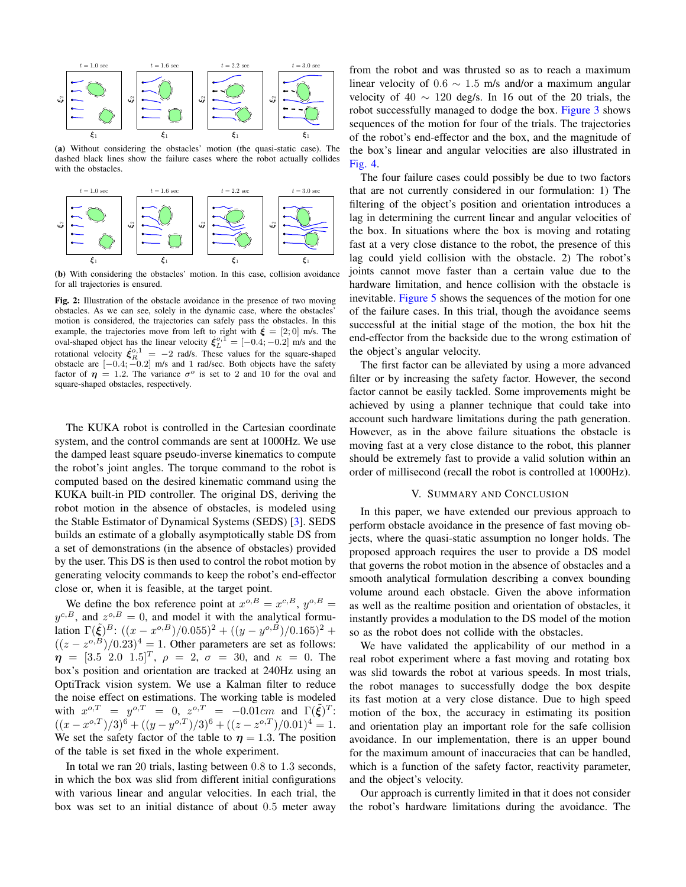<span id="page-3-1"></span><span id="page-3-0"></span>

(a) Without considering the obstacles' motion (the quasi-static case). The dashed black lines show the failure cases where the robot actually collides with the obstacles.

<span id="page-3-2"></span>

(b) With considering the obstacles' motion. In this case, collision avoidance for all trajectories is ensured.

Fig. 2: Illustration of the obstacle avoidance in the presence of two moving obstacles. As we can see, solely in the dynamic case, where the obstacles' motion is considered, the trajectories can safely pass the obstacles. In this example, the trajectories move from left to right with  $\dot{\xi} = [2, 0]$  m/s. The oval-shaped object has the linear velocity  $\boldsymbol{\xi}_{L}^{\text{o},1}$  = [−0*.*4; −0.2] m/s and the rotational velocity  $\xi_R^{o,1} = -2$  rad/s. These values for the square-shaped obstacle are [*−*0*.*4; *−*0*.*2] m/s and 1 rad/sec. Both objects have the safety factor of  $\eta = 1.2$ . The variance  $\sigma^{\circ}$  is set to 2 and 10 for the oval and square-shaped obstacles, respectively.

The KUKA robot is controlled in the Cartesian coordinate system, and the control commands are sent at 1000Hz. We use the damped least square pseudo-inverse kinematics to compute the robot's joint angles. The torque command to the robot is computed based on the desired kinematic command using the KUKA built-in PID controller. The original DS, deriving the robot motion in the absence of obstacles, is modeled using the Stable Estimator of Dynamical Systems (SEDS) [\[3](#page-5-2)]. SEDS builds an estimate of a globally asymptotically stable DS from a set of demonstrations (in the absence of obstacles) provided by the user. This DS is then used to control the robot motion by generating velocity commands to keep the robot's end-effector close or, when it is feasible, at the target point.

We define the box reference point at  $x^{\circ,B} = x^{c,B}$ ,  $y^{\circ,B} =$  $y^{c,B}$ , and  $z^{o,B} = 0$ , and model it with the analytical formulation  $\Gamma(\tilde{\xi})^B$ :  $((x - x^{\sigma,B})/0.055)^2 + ((y - y^{\sigma,B})/0.165)^2 +$  $((z - z^{o,B})/0.23)^4 = 1$ . Other parameters are set as follows:  $\eta = [3.5 \ 2.0 \ 1.5]^T$ ,  $\rho = 2$ ,  $\sigma = 30$ , and  $\kappa = 0$ . The box's position and orientation are tracked at 240Hz using an OptiTrack vision system. We use a Kalman filter to reduce the noise effect on estimations. The working table is modeled with  $x^{o,T} = y^{o,T} = 0$ ,  $z^{o,T} = -0.01$ *cm* and  $\Gamma(\tilde{\xi})^T$ :  $((x - x^{o,T})/3)^6 + ((y - y^{o,T})/3)^6 + ((z - z^{o,T})/0.01)^4 = 1.$ We set the safety factor of the table to  $\eta = 1.3$ . The position of the table is set fixed in the whole experiment.

In total we ran 20 trials, lasting between 0*.*8 to 1*.*3 seconds, in which the box was slid from different initial configurations with various linear and angular velocities. In each trial, the box was set to an initial distance of about 0*.*5 meter away

from the robot and was thrusted so as to reach a maximum linear velocity of 0*.*6 *∼* 1*.*5 m/s and/or a maximum angular velocity of  $40 \sim 120$  deg/s. In 16 out of the 20 trials, the robot successfully managed to dodge the box. [Figure 3](#page-4-0) shows sequences of the motion for four of the trials. The trajectories of the robot's end-effector and the box, and the magnitude of the box's linear and angular velocities are also illustrated in [Fig. 4](#page-5-9).

The four failure cases could possibly be due to two factors that are not currently considered in our formulation: 1) The filtering of the object's position and orientation introduces a lag in determining the current linear and angular velocities of the box. In situations where the box is moving and rotating fast at a very close distance to the robot, the presence of this lag could yield collision with the obstacle. 2) The robot's joints cannot move faster than a certain value due to the hardware limitation, and hence collision with the obstacle is inevitable. [Figure 5](#page-5-10) shows the sequences of the motion for one of the failure cases. In this trial, though the avoidance seems successful at the initial stage of the motion, the box hit the end-effector from the backside due to the wrong estimation of the object's angular velocity.

The first factor can be alleviated by using a more advanced filter or by increasing the safety factor. However, the second factor cannot be easily tackled. Some improvements might be achieved by using a planner technique that could take into account such hardware limitations during the path generation. However, as in the above failure situations the obstacle is moving fast at a very close distance to the robot, this planner should be extremely fast to provide a valid solution within an order of millisecond (recall the robot is controlled at 1000Hz).

### V. SUMMARY AND CONCLUSION

In this paper, we have extended our previous approach to perform obstacle avoidance in the presence of fast moving objects, where the quasi-static assumption no longer holds. The proposed approach requires the user to provide a DS model that governs the robot motion in the absence of obstacles and a smooth analytical formulation describing a convex bounding volume around each obstacle. Given the above information as well as the realtime position and orientation of obstacles, it instantly provides a modulation to the DS model of the motion so as the robot does not collide with the obstacles.

We have validated the applicability of our method in a real robot experiment where a fast moving and rotating box was slid towards the robot at various speeds. In most trials, the robot manages to successfully dodge the box despite its fast motion at a very close distance. Due to high speed motion of the box, the accuracy in estimating its position and orientation play an important role for the safe collision avoidance. In our implementation, there is an upper bound for the maximum amount of inaccuracies that can be handled, which is a function of the safety factor, reactivity parameter, and the object's velocity.

Our approach is currently limited in that it does not consider the robot's hardware limitations during the avoidance. The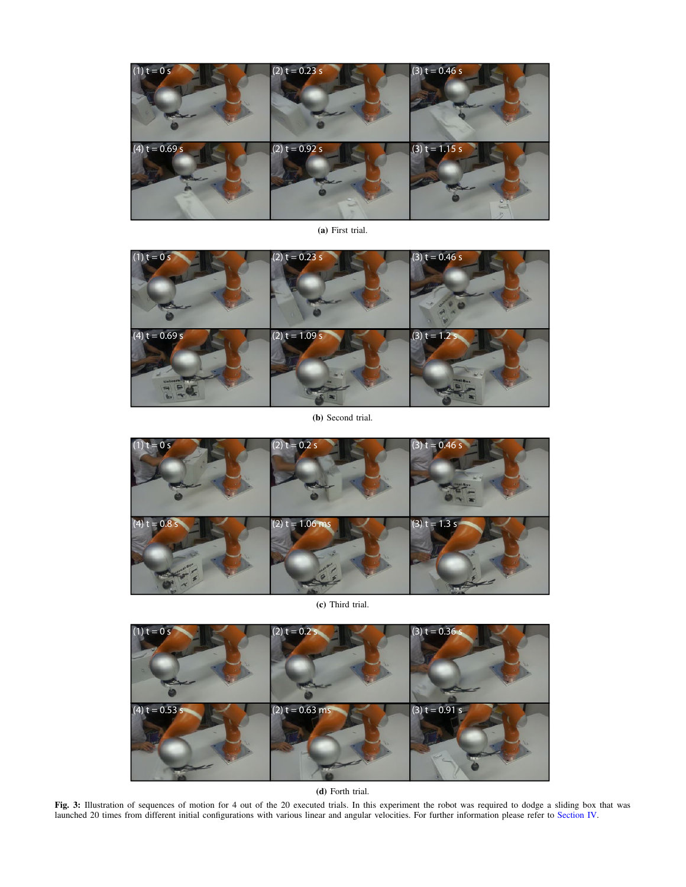<span id="page-4-0"></span>

(a) First trial.



(b) Second trial.



(c) Third trial.



(d) Forth trial.

Fig. 3: Illustration of sequences of motion for 4 out of the 20 executed trials. In this experiment the robot was required to dodge a sliding box that was launched 20 times from different initial configurations with various linear and angular velocities. For further information please refer to [Section IV.](#page-2-4)